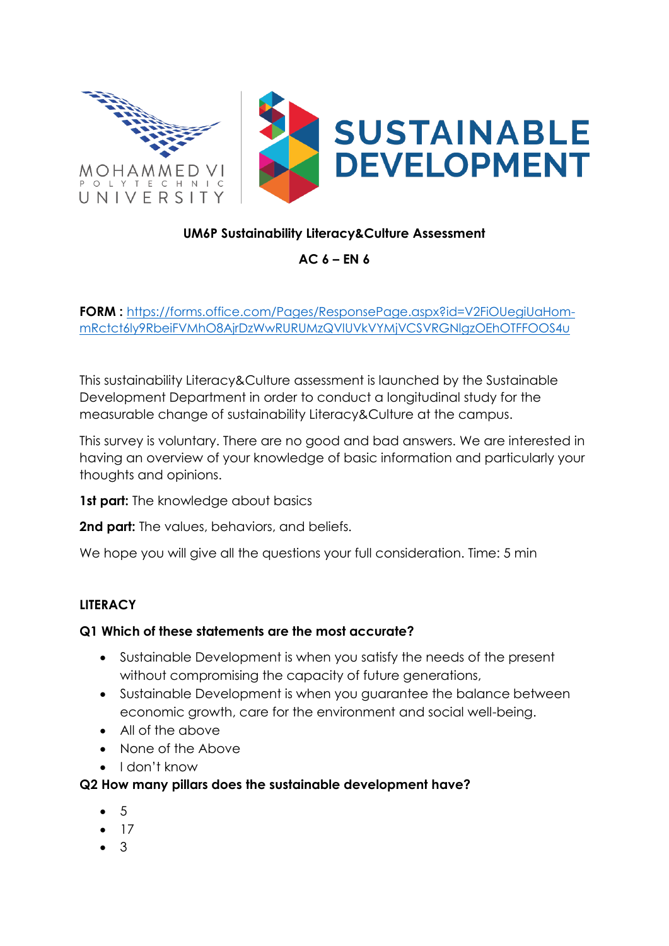

# **UM6P Sustainability Literacy&Culture Assessment**

**AC 6 – EN 6** 

**FORM :** [https://forms.office.com/Pages/ResponsePage.aspx?id=V2FiOUegiUaHom](https://forms.office.com/Pages/ResponsePage.aspx?id=V2FiOUegiUaHom-mRctct6ly9RbeiFVMhO8AjrDzWwRURUMzQVlUVkVYMjVCSVRGNlgzOEhOTFFOOS4u)[mRctct6ly9RbeiFVMhO8AjrDzWwRURUMzQVlUVkVYMjVCSVRGNlgzOEhOTFFOOS4u](https://forms.office.com/Pages/ResponsePage.aspx?id=V2FiOUegiUaHom-mRctct6ly9RbeiFVMhO8AjrDzWwRURUMzQVlUVkVYMjVCSVRGNlgzOEhOTFFOOS4u)

This sustainability Literacy&Culture assessment is launched by the Sustainable Development Department in order to conduct a longitudinal study for the measurable change of sustainability Literacy&Culture at the campus.

This survey is voluntary. There are no good and bad answers. We are interested in having an overview of your knowledge of basic information and particularly your thoughts and opinions.

**1st part:** The knowledge about basics

**2nd part:** The values, behaviors, and beliefs.

We hope you will give all the questions your full consideration. Time: 5 min

#### **LITERACY**

#### **Q1 Which of these statements are the most accurate?**

- Sustainable Development is when you satisfy the needs of the present without compromising the capacity of future generations,
- Sustainable Development is when you guarantee the balance between economic growth, care for the environment and social well-being.
- All of the above
- None of the Above
- I don't know

#### **Q2 How many pillars does the sustainable development have?**

- 5
- 17
- 3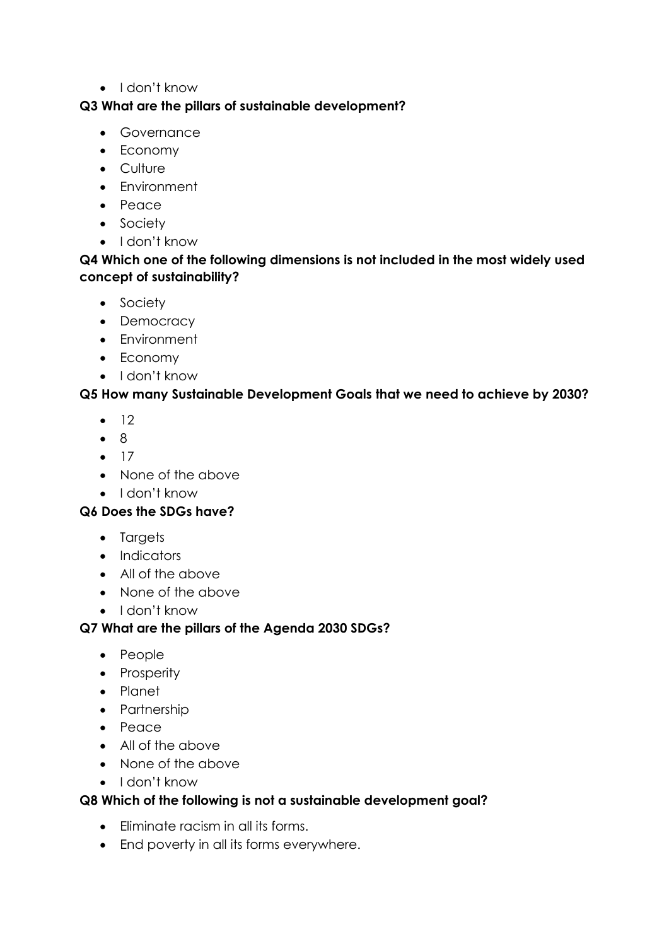• I don't know

#### **Q3 What are the pillars of sustainable development?**

- Governance
- Economy
- Culture
- Environment
- Peace
- Society
- I don't know

### **Q4 Which one of the following dimensions is not included in the most widely used concept of sustainability?**

- Society
- Democracy
- Environment
- Economy
- I don't know

# **Q5 How many Sustainable Development Goals that we need to achieve by 2030?**

- $12$
- 8
- 17
- None of the above
- I don't know

#### **Q6 Does the SDGs have?**

- Targets
- Indicators
- All of the above
- None of the above
- I don't know

#### **Q7 What are the pillars of the Agenda 2030 SDGs?**

- People
- Prosperity
- Planet
- Partnership
- Peace
- All of the above
- None of the above
- I don't know

#### **Q8 Which of the following is not a sustainable development goal?**

- Eliminate racism in all its forms.
- End poverty in all its forms everywhere.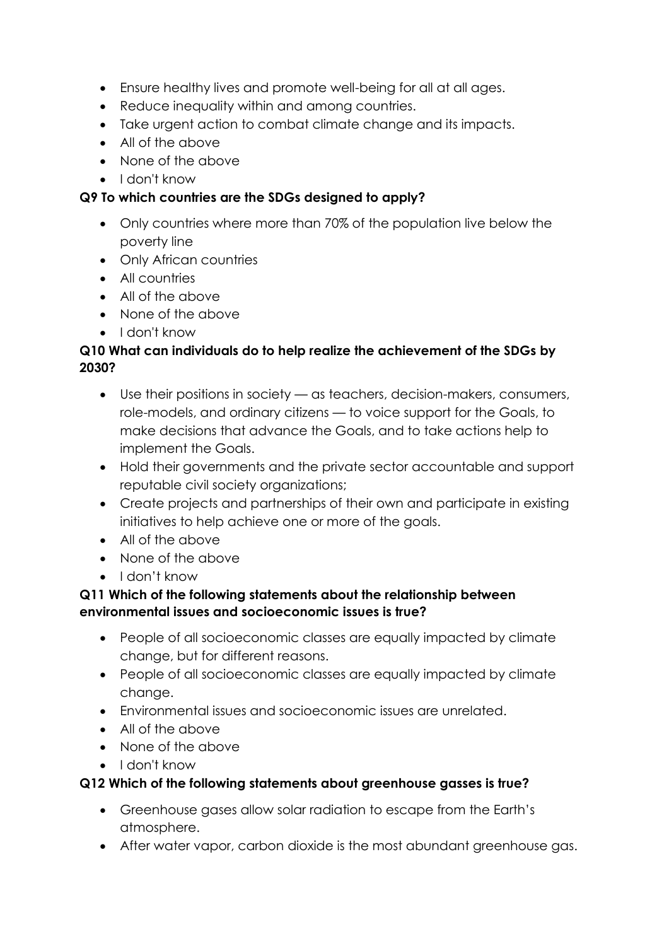- Ensure healthy lives and promote well-being for all at all ages.
- Reduce inequality within and among countries.
- Take urgent action to combat climate change and its impacts.
- All of the above
- None of the above
- I don't know

### **Q9 To which countries are the SDGs designed to apply?**

- Only countries where more than 70% of the population live below the poverty line
- Only African countries
- All countries
- All of the above
- None of the above
- I don't know

### **Q10 What can individuals do to help realize the achievement of the SDGs by 2030?**

- Use their positions in society as teachers, decision-makers, consumers, role-models, and ordinary citizens — to voice support for the Goals, to make decisions that advance the Goals, and to take actions help to implement the Goals.
- Hold their governments and the private sector accountable and support reputable civil society organizations;
- Create projects and partnerships of their own and participate in existing initiatives to help achieve one or more of the goals.
- All of the above
- None of the above
- I don't know

# **Q11 Which of the following statements about the relationship between environmental issues and socioeconomic issues is true?**

- People of all socioeconomic classes are equally impacted by climate change, but for different reasons.
- People of all socioeconomic classes are equally impacted by climate change.
- Environmental issues and socioeconomic issues are unrelated.
- All of the above
- None of the above
- I don't know

#### **Q12 Which of the following statements about greenhouse gasses is true?**

- Greenhouse gases allow solar radiation to escape from the Earth's atmosphere.
- After water vapor, carbon dioxide is the most abundant greenhouse gas.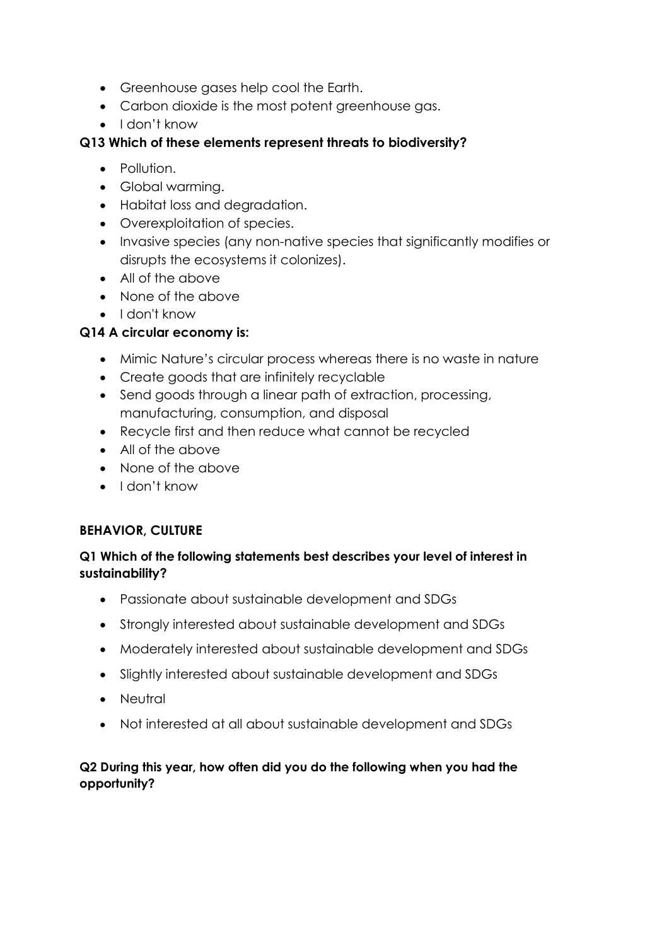- Greenhouse gases help cool the Earth.
- Carbon dioxide is the most potent greenhouse gas.
- I don't know

# **Q13 Which of these elements represent threats to biodiversity?**

- Pollution.
- Global warming.
- Habitat loss and degradation.
- Overexploitation of species.
- Invasive species (any non-native species that significantly modifies or disrupts the ecosystems it colonizes).
- All of the above
- None of the above
- I don't know

# **Q14 A circular economy is:**

- Mimic Nature's circular process whereas there is no waste in nature
- Create goods that are infinitely recyclable
- Send goods through a linear path of extraction, processing, manufacturing, consumption, and disposal
- Recycle first and then reduce what cannot be recycled
- All of the above
- None of the above
- I don't know

#### **BEHAVIOR, CULTURE**

#### **Q1 Which of the following statements best describes your level of interest in sustainability?**

- Passionate about sustainable development and SDGs
- Strongly interested about sustainable development and SDGs
- Moderately interested about sustainable development and SDGs
- Slightly interested about sustainable development and SDGs
- Neutral
- Not interested at all about sustainable development and SDGs

#### **Q2 During this year, how often did you do the following when you had the opportunity?**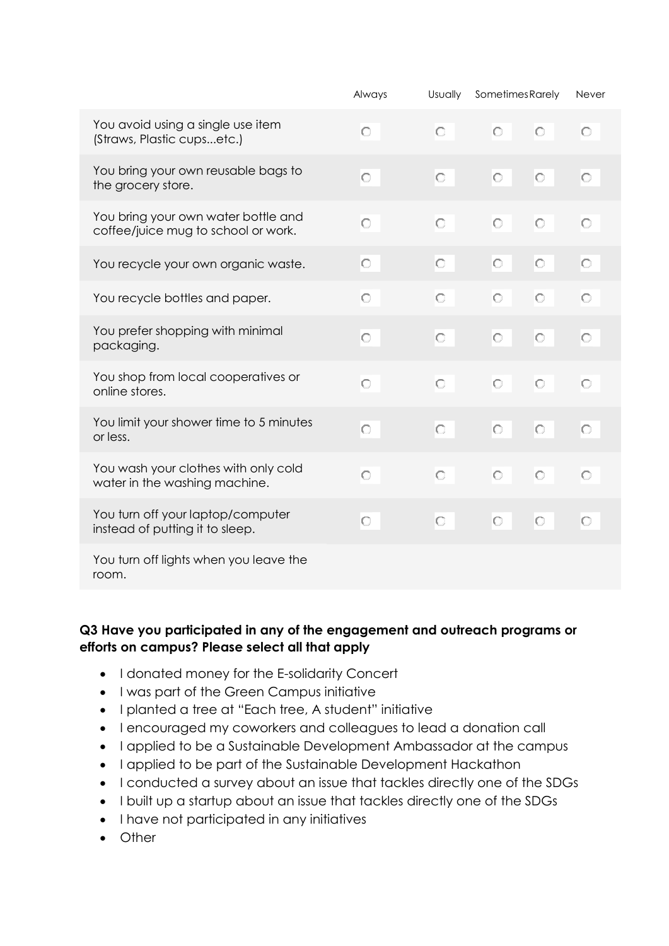|                                                                            | Always | Usually | Sometimes Rarely   | Never   |
|----------------------------------------------------------------------------|--------|---------|--------------------|---------|
| You avoid using a single use item<br>(Straws, Plastic cupsetc.)            | О      | O       | $\circ$<br>$\circ$ | O       |
| You bring your own reusable bags to<br>the grocery store.                  | Ю      | lO      | $\circ$<br>lo      | O       |
| You bring your own water bottle and<br>coffee/juice mug to school or work. | O      | O       | $\circ$<br>O       | Ю       |
| You recycle your own organic waste.                                        | О      | lo      | $\circ$<br>lo      | O       |
| You recycle bottles and paper.                                             | О      | О       | Ю<br>O             | Ю       |
| You prefer shopping with minimal<br>packaging.                             | О      | O       | $\circ$<br>$\circ$ | lo      |
| You shop from local cooperatives or<br>online stores.                      | O      | $\circ$ | $\circ$<br>$\circ$ | $\circ$ |
| You limit your shower time to 5 minutes<br>or less.                        | О      | lo      | $\circ$<br>lo      | $\circ$ |
| You wash your clothes with only cold<br>water in the washing machine.      | Ю      | Ō       | O<br>O             | Ю       |
| You turn off your laptop/computer<br>instead of putting it to sleep.       | О      | IO      | $\circ$<br>lO      | O       |
| You turn off lights when you leave the<br>room.                            |        |         |                    |         |

#### **Q3 Have you participated in any of the engagement and outreach programs or efforts on campus? Please select all that apply**

- I donated money for the E-solidarity Concert
- I was part of the Green Campus initiative
- I planted a tree at "Each tree, A student" initiative
- I encouraged my coworkers and colleagues to lead a donation call
- I applied to be a Sustainable Development Ambassador at the campus
- I applied to be part of the Sustainable Development Hackathon
- I conducted a survey about an issue that tackles directly one of the SDGs
- I built up a startup about an issue that tackles directly one of the SDGs
- I have not participated in any initiatives
- Other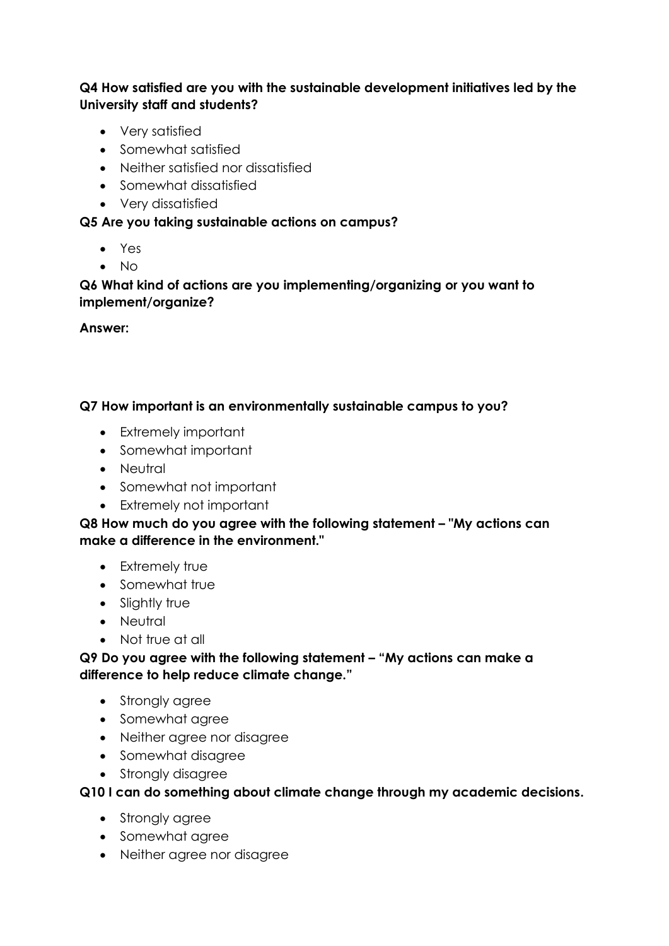**Q4 How satisfied are you with the sustainable development initiatives led by the University staff and students?**

- Very satisfied
- Somewhat satisfied
- Neither satisfied nor dissatisfied
- Somewhat dissatisfied
- Very dissatisfied

### **Q5 Are you taking sustainable actions on campus?**

- Yes
- No

**Q6 What kind of actions are you implementing/organizing or you want to implement/organize?**

**Answer:** 

#### **Q7 How important is an environmentally sustainable campus to you?**

- Extremely important
- Somewhat important
- Neutral
- Somewhat not important
- Extremely not important

**Q8 How much do you agree with the following statement – "My actions can make a difference in the environment."**

- Extremely true
- Somewhat true
- Slightly true
- Neutral
- Not true at all

**Q9 Do you agree with the following statement – "My actions can make a difference to help reduce climate change."**

- Strongly agree
- Somewhat agree
- Neither agree nor disagree
- Somewhat disagree
- Strongly disagree

#### **Q10 I can do something about climate change through my academic decisions.**

- Strongly agree
- Somewhat agree
- Neither agree nor disagree